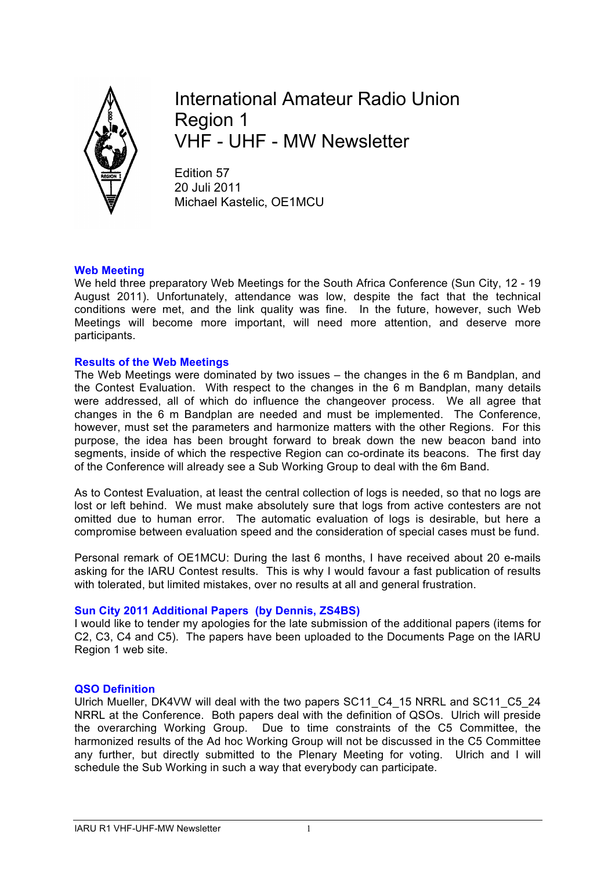

International Amateur Radio Union Region 1 VHF - UHF - MW Newsletter

Edition 57 20 Juli 2011 Michael Kastelic, OE1MCU

## **Web Meeting**

We held three preparatory Web Meetings for the South Africa Conference (Sun City, 12 - 19 August 2011). Unfortunately, attendance was low, despite the fact that the technical conditions were met, and the link quality was fine. In the future, however, such Web Meetings will become more important, will need more attention, and deserve more participants.

## **Results of the Web Meetings**

The Web Meetings were dominated by two issues – the changes in the 6 m Bandplan, and the Contest Evaluation. With respect to the changes in the 6 m Bandplan, many details were addressed, all of which do influence the changeover process. We all agree that changes in the 6 m Bandplan are needed and must be implemented. The Conference, however, must set the parameters and harmonize matters with the other Regions. For this purpose, the idea has been brought forward to break down the new beacon band into segments, inside of which the respective Region can co-ordinate its beacons. The first day of the Conference will already see a Sub Working Group to deal with the 6m Band.

As to Contest Evaluation, at least the central collection of logs is needed, so that no logs are lost or left behind. We must make absolutely sure that logs from active contesters are not omitted due to human error. The automatic evaluation of logs is desirable, but here a compromise between evaluation speed and the consideration of special cases must be fund.

Personal remark of OE1MCU: During the last 6 months, I have received about 20 e-mails asking for the IARU Contest results. This is why I would favour a fast publication of results with tolerated, but limited mistakes, over no results at all and general frustration.

# **Sun City 2011 Additional Papers (by Dennis, ZS4BS)**

I would like to tender my apologies for the late submission of the additional papers (items for C2, C3, C4 and C5). The papers have been uploaded to the Documents Page on the IARU Region 1 web site.

### **QSO Definition**

Ulrich Mueller, DK4VW will deal with the two papers SC11\_C4\_15 NRRL and SC11\_C5\_24 NRRL at the Conference. Both papers deal with the definition of QSOs. Ulrich will preside the overarching Working Group. Due to time constraints of the C5 Committee, the harmonized results of the Ad hoc Working Group will not be discussed in the C5 Committee any further, but directly submitted to the Plenary Meeting for voting. Ulrich and I will schedule the Sub Working in such a way that everybody can participate.